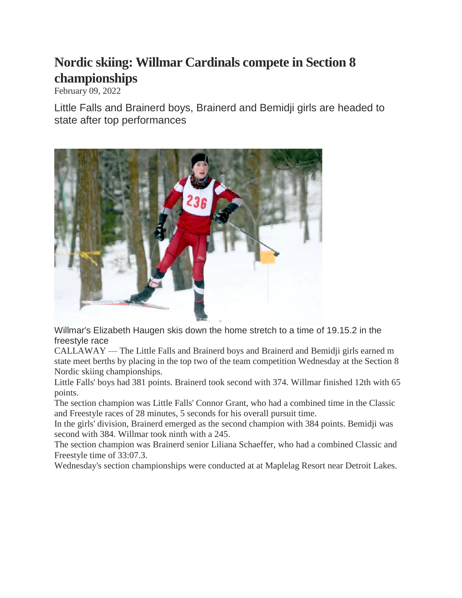# **Nordic skiing: Willmar Cardinals compete in Section 8 championships**

February 09, 2022

Little Falls and Brainerd boys, Brainerd and Bemidji girls are headed to state after top performances



Willmar's Elizabeth Haugen skis down the home stretch to a time of 19.15.2 in the freestyle race

CALLAWAY — The Little Falls and Brainerd boys and Brainerd and Bemidji girls earned m state meet berths by placing in the top two of the team competition Wednesday at the Section 8 Nordic skiing championships.

Little Falls' boys had 381 points. Brainerd took second with 374. Willmar finished 12th with 65 points.

The section champion was Little Falls' Connor Grant, who had a combined time in the Classic and Freestyle races of 28 minutes, 5 seconds for his overall pursuit time.

In the girls' division, Brainerd emerged as the second champion with 384 points. Bemidji was second with 384. Willmar took ninth with a 245.

The section champion was Brainerd senior Liliana Schaeffer, who had a combined Classic and Freestyle time of 33:07.3.

Wednesday's section championships were conducted at at Maplelag Resort near Detroit Lakes.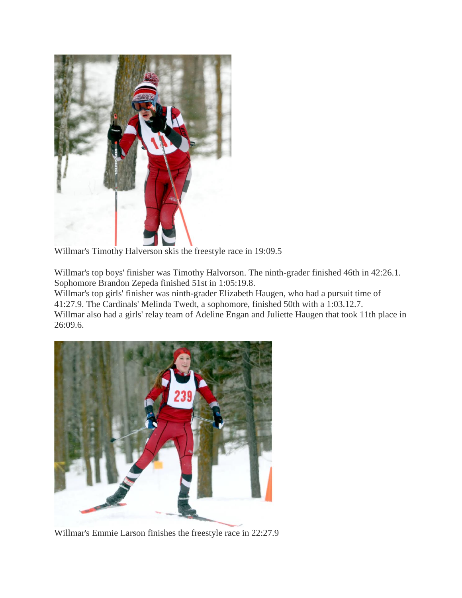

Willmar's Timothy Halverson skis the freestyle race in 19:09.5

Willmar's top boys' finisher was Timothy Halvorson. The ninth-grader finished 46th in 42:26.1. Sophomore Brandon Zepeda finished 51st in 1:05:19.8.

Willmar's top girls' finisher was ninth-grader Elizabeth Haugen, who had a pursuit time of 41:27.9. The Cardinals' Melinda Twedt, a sophomore, finished 50th with a 1:03.12.7. Willmar also had a girls' relay team of Adeline Engan and Juliette Haugen that took 11th place in

26:09.6.



Willmar's Emmie Larson finishes the freestyle race in 22:27.9